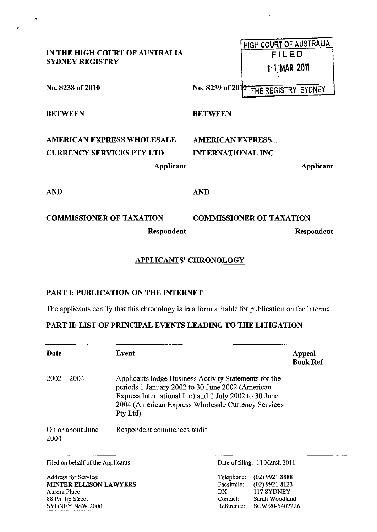| IN THE HIGH COURT OF AUSTRALIA<br><b>SYDNEY REGISTRY</b>                           |                                                      | HIGH COURT OF AUSTRALIA<br>FILED<br><b>1-1 MAR 2011</b> |  |
|------------------------------------------------------------------------------------|------------------------------------------------------|---------------------------------------------------------|--|
| No. S238 of 2010                                                                   |                                                      | No. S239 of 2010 THE REGISTRY SYDNEY                    |  |
| <b>BETWEEN</b>                                                                     | <b>BETWEEN</b>                                       |                                                         |  |
| <b>AMERICAN EXPRESS WHOLESALE</b><br><b>CURRENCY SERVICES PTY LTD</b><br>Applicant | <b>AMERICAN EXPRESS.</b><br><b>INTERNATIONAL INC</b> | Applicant                                               |  |
| <b>AND</b>                                                                         | <b>AND</b>                                           |                                                         |  |
| <b>COMMISSIONER OF TAXATION</b><br>Respondent                                      |                                                      | <b>COMMISSIONER OF TAXATION</b><br>Respondent           |  |

## APPLICANTS' CHRONOLOGY

## PART I: PUBLICATION ON THE INTERNET

.. ,

The applicants certify that this chronology is in a form suitable for publication on the internet.

## PART II: LIST OF PRINCIPAL EVENTS LEADING TO THE LITIGATION

| Date                                                  | Event                                                                                                                                                                                                                                | Appeal<br><b>Book Ref</b>                                        |
|-------------------------------------------------------|--------------------------------------------------------------------------------------------------------------------------------------------------------------------------------------------------------------------------------------|------------------------------------------------------------------|
| $2002 - 2004$                                         | Applicants lodge Business Activity Statements for the<br>periods 1 January 2002 to 30 June 2002 (American<br>Express International Inc) and 1 July 2002 to 30 June<br>2004 (American Express Wholesale Currency Services<br>Pty Ltd) |                                                                  |
| On or about June<br>2004                              | Respondent commences audit                                                                                                                                                                                                           |                                                                  |
| Filed on behalf of the Applicants                     |                                                                                                                                                                                                                                      | Date of filing: 11 March 2011                                    |
| Address for Service:<br><b>MINTER ELLISON LAWYERS</b> |                                                                                                                                                                                                                                      | $(02)$ 9921 8888<br>Telephone:<br>Facsimile:<br>$(02)$ 9921 8123 |

MINTER ELLISON LAWYERS Aurora Place 88 PhiIlip Street SYDNEY NSW 2000

| Telephone: | (02) 9921 8888 |
|------------|----------------|
| Facsimile: | (02) 9921 8123 |
| DX:        | 117 SYDNEY     |
| Contact:   | Sarah Woodland |
| Reference: | SCW:20-5407226 |

 $\bar{z}$